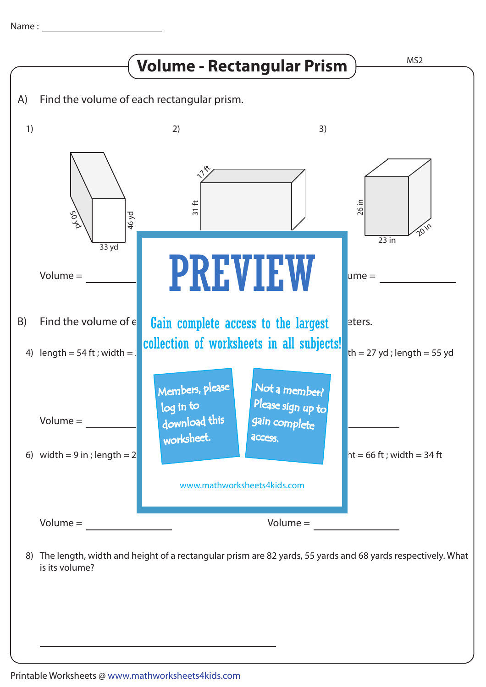